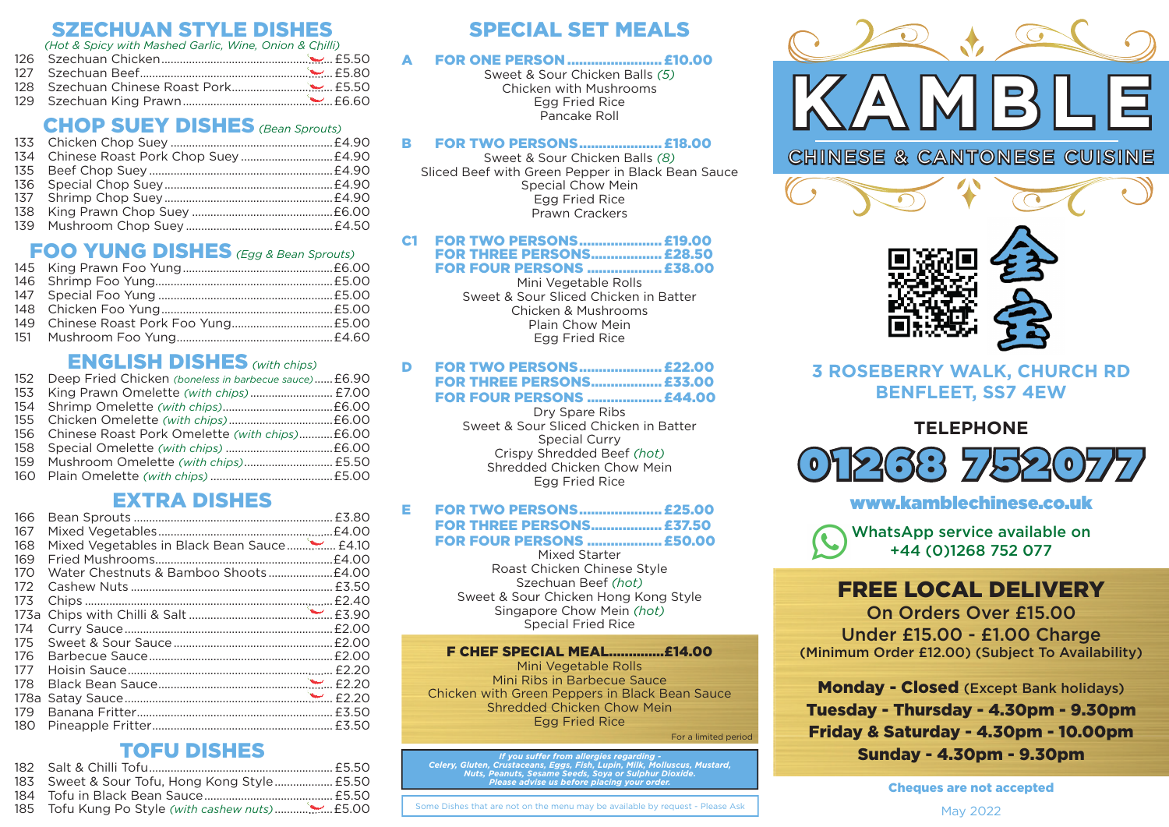## SZECHUAN STYLE DISHES

*(Hot & Spicy with Mashed Garlic, Wine, Onion & Chilli)*

129 Szechuan King Prawn .................................................£6.60 .................................................

## CHOP SUEY DISHES *(Bean Sprouts)*

| 134 Chinese Roast Pork Chop Suey  £4.90 |  |
|-----------------------------------------|--|
|                                         |  |
|                                         |  |
|                                         |  |
|                                         |  |
|                                         |  |

# FOO YUNG DISHES *(Egg & Bean Sprouts)*

## ENGLISH DISHES *(with chips)*

| 152 Deep Fried Chicken (boneless in barbecue sauce) £6.90 |  |
|-----------------------------------------------------------|--|
| 153 King Prawn Omelette (with chips) £7.00                |  |
|                                                           |  |
|                                                           |  |
| 156 Chinese Roast Pork Omelette (with chips) £6.00        |  |
|                                                           |  |
| 159 Mushroom Omelette (with chips) £5.50                  |  |
|                                                           |  |
|                                                           |  |

## EXTRA DISHES

| 166  |                                            |  |
|------|--------------------------------------------|--|
| 167  |                                            |  |
| 168  | Mixed Vegetables in Black Bean Sauce £4.10 |  |
| 169  |                                            |  |
| 170  |                                            |  |
| 172  |                                            |  |
| 173  |                                            |  |
| 173a |                                            |  |
| 174  |                                            |  |
| 175  |                                            |  |
| 176  |                                            |  |
| 177  |                                            |  |
| 178  |                                            |  |
| 178a |                                            |  |
| 179  |                                            |  |
| 180  |                                            |  |
|      |                                            |  |

## TOFU DISHES

| 183 Sweet & Sour Tofu, Hong Kong Style £5.50 |  |
|----------------------------------------------|--|
|                                              |  |
|                                              |  |
|                                              |  |

## SPECIAL SET MEALS

#### A FOR ONE PERSON ........................£10.00

Sweet & Sour Chicken Balls *(5)* Chicken with Mushrooms Egg Fried Rice Pancake Roll

#### B FOR TWO PERSONS .....................£18.00

Sweet & Sour Chicken Balls *(8)* Sliced Beef with Green Pepper in Black Bean Sauce Special Chow Mein Egg Fried Rice Prawn Crackers

#### C1 FOR TWO PERSONS .....................£19.00 **FOR THREE PERSONS.................. £28.50**

FOR FOUR PERSONS ...................£38.00

Mini Vegetable Rolls Sweet & Sour Sliced Chicken in Batter Chicken & Mushrooms Plain Chow Mein Egg Fried Rice

#### D FOR TWO PERSONS .....................£22.00

### FOR THREE PERSONS ..................£33.00

FOR FOUR PERSONS ...................£44.00

Dry Spare Ribs Sweet & Sour Sliced Chicken in Batter Special Curry Crispy Shredded Beef *(hot)* Shredded Chicken Chow Mein Egg Fried Rice

#### E FOR TWO PERSONS .....................£25.00 FOR THREE PERSONS ..................£37.50 FOR FOUR PERSONS ...................£50.00

Mixed Starter Roast Chicken Chinese Style Szechuan Beef *(hot)* Sweet & Sour Chicken Hong Kong Style Singapore Chow Mein *(hot)* Special Fried Rice

F CHEF SPECIAL MEAL..............£14.00 Mini Vegetable Rolls Mini Ribs in Barbecue Sauce Chicken with Green Peppers in Black Bean Sauce Shredded Chicken Chow Mein Egg Fried Rice

For a limited period

*If you su er from allergies regarding - Celery, Gluten, Crustaceans, Eggs, Fish, Lupin, Milk, Molluscus, Mustard, Nuts, Peanuts, Sesame Seeds, Soya or Sulphur Dioxide. Please advise us before placing your order.*

**nd Form 205 Tofus** Some Dishes that are not on the menu may be available by request - Please Ask



CHINESE & CANTONESE CUISINE



## **3 ROSEBERRY WALK, CHURCH RD BENFLEET, SS7 4EW**

## **TELEPHONE**



## www.kamblechinese.co.uk

WhatsApp service available on +44 (0)1268 752 077

# FREE LOCAL DELIVERY

On Orders Over £15.00 Under £15.00 - £1.00 Charge (Minimum Order £12.00) (Subject To Availability)

Monday - Closed (Except Bank holidays) Tuesday - Thursday - 4.30pm - 9.30pm Friday & Saturday - 4.30pm - 10.00pm Sunday - 4.30pm - 9.30pm

Cheques are not accepted

May 2022